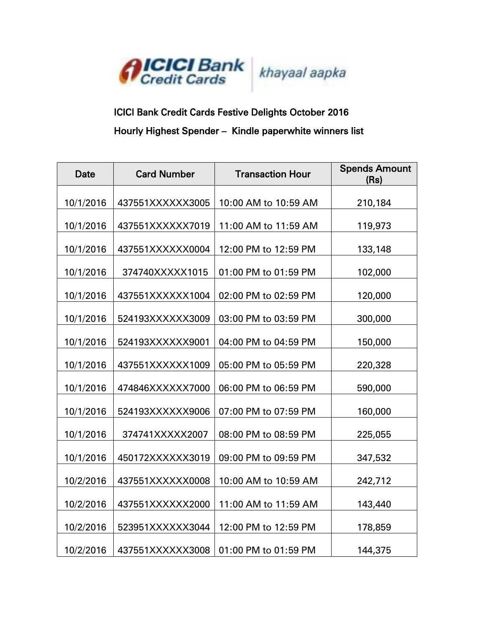

## ICICI Bank Credit Cards Festive Delights October 2016 Hourly Highest Spender – Kindle paperwhite winners list

| <b>Date</b> | <b>Card Number</b> | <b>Transaction Hour</b> | <b>Spends Amount</b><br>(Rs) |
|-------------|--------------------|-------------------------|------------------------------|
| 10/1/2016   | 437551XXXXXX3005   | 10:00 AM to 10:59 AM    | 210,184                      |
| 10/1/2016   | 437551XXXXXX7019   | 11:00 AM to 11:59 AM    | 119,973                      |
| 10/1/2016   | 437551XXXXXX0004   | 12:00 PM to 12:59 PM    | 133,148                      |
| 10/1/2016   | 374740XXXXX1015    | 01:00 PM to 01:59 PM    | 102,000                      |
| 10/1/2016   | 437551XXXXXX1004   | 02:00 PM to 02:59 PM    | 120,000                      |
| 10/1/2016   | 524193XXXXXX3009   | 03:00 PM to 03:59 PM    | 300,000                      |
| 10/1/2016   | 524193XXXXXX9001   | 04:00 PM to 04:59 PM    | 150,000                      |
| 10/1/2016   | 437551XXXXXX1009   | 05:00 PM to 05:59 PM    | 220,328                      |
| 10/1/2016   | 474846XXXXXX7000   | 06:00 PM to 06:59 PM    | 590,000                      |
| 10/1/2016   | 524193XXXXXX9006   | 07:00 PM to 07:59 PM    | 160,000                      |
| 10/1/2016   | 374741XXXXX2007    | 08:00 PM to 08:59 PM    | 225,055                      |
| 10/1/2016   | 450172XXXXXX3019   | 09:00 PM to 09:59 PM    | 347,532                      |
| 10/2/2016   | 437551XXXXXX0008   | 10:00 AM to 10:59 AM    | 242,712                      |
| 10/2/2016   | 437551XXXXXX2000   | 11:00 AM to 11:59 AM    | 143,440                      |
| 10/2/2016   | 523951XXXXXX3044   | 12:00 PM to 12:59 PM    | 178,859                      |
| 10/2/2016   | 437551XXXXXX3008   | 01:00 PM to 01:59 PM    | 144,375                      |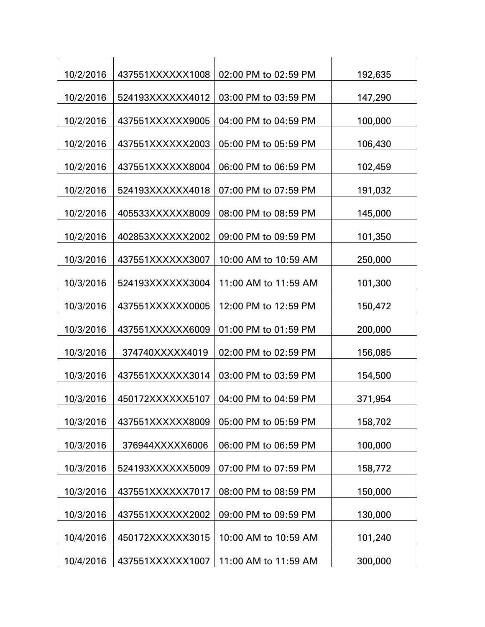| 10/2/2016 | 437551XXXXXX1008 | 02:00 PM to 02:59 PM | 192,635 |
|-----------|------------------|----------------------|---------|
| 10/2/2016 | 524193XXXXXX4012 | 03:00 PM to 03:59 PM | 147,290 |
| 10/2/2016 | 437551XXXXXX9005 | 04:00 PM to 04:59 PM | 100,000 |
| 10/2/2016 | 437551XXXXXX2003 | 05:00 PM to 05:59 PM | 106,430 |
| 10/2/2016 | 437551XXXXXX8004 | 06:00 PM to 06:59 PM | 102,459 |
| 10/2/2016 | 524193XXXXXX4018 | 07:00 PM to 07:59 PM |         |
|           |                  |                      | 191,032 |
| 10/2/2016 | 405533XXXXXX8009 | 08:00 PM to 08:59 PM | 145,000 |
| 10/2/2016 | 402853XXXXXX2002 | 09:00 PM to 09:59 PM | 101,350 |
| 10/3/2016 | 437551XXXXXX3007 | 10:00 AM to 10:59 AM | 250,000 |
| 10/3/2016 | 524193XXXXXX3004 | 11:00 AM to 11:59 AM | 101,300 |
| 10/3/2016 | 437551XXXXXX0005 | 12:00 PM to 12:59 PM | 150,472 |
| 10/3/2016 | 437551XXXXXX6009 | 01:00 PM to 01:59 PM | 200,000 |
| 10/3/2016 | 374740XXXXX4019  | 02:00 PM to 02:59 PM | 156,085 |
| 10/3/2016 | 437551XXXXXX3014 | 03:00 PM to 03:59 PM | 154,500 |
| 10/3/2016 | 450172XXXXXX5107 | 04:00 PM to 04:59 PM | 371,954 |
| 10/3/2016 | 437551XXXXXX8009 | 05:00 PM to 05:59 PM | 158,702 |
| 10/3/2016 | 376944XXXXX6006  | 06:00 PM to 06:59 PM | 100,000 |
|           |                  |                      |         |
| 10/3/2016 | 524193XXXXXX5009 | 07:00 PM to 07:59 PM | 158,772 |
| 10/3/2016 | 437551XXXXXX7017 | 08:00 PM to 08:59 PM | 150,000 |
| 10/3/2016 | 437551XXXXXX2002 | 09:00 PM to 09:59 PM | 130,000 |
| 10/4/2016 | 450172XXXXXX3015 | 10:00 AM to 10:59 AM | 101,240 |
| 10/4/2016 | 437551XXXXXX1007 | 11:00 AM to 11:59 AM | 300,000 |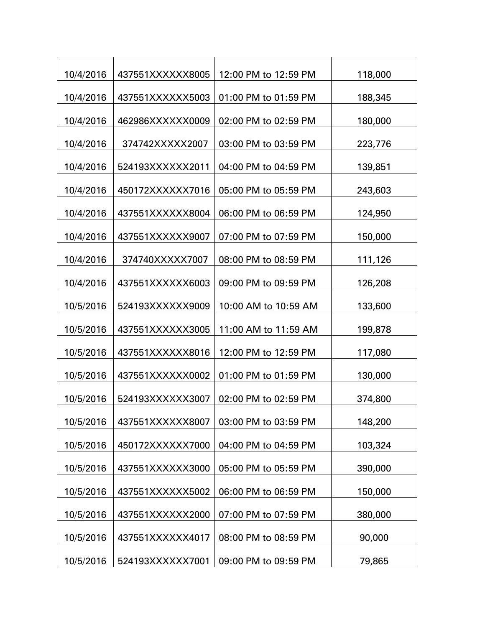| 10/4/2016 | 437551XXXXXX8005 | 12:00 PM to 12:59 PM | 118,000 |
|-----------|------------------|----------------------|---------|
| 10/4/2016 | 437551XXXXXX5003 | 01:00 PM to 01:59 PM | 188,345 |
| 10/4/2016 | 462986XXXXXX0009 | 02:00 PM to 02:59 PM | 180,000 |
| 10/4/2016 | 374742XXXXX2007  | 03:00 PM to 03:59 PM | 223,776 |
| 10/4/2016 | 524193XXXXXX2011 | 04:00 PM to 04:59 PM | 139,851 |
| 10/4/2016 | 450172XXXXXX7016 | 05:00 PM to 05:59 PM | 243,603 |
|           |                  |                      |         |
| 10/4/2016 | 437551XXXXXX8004 | 06:00 PM to 06:59 PM | 124,950 |
| 10/4/2016 | 437551XXXXXX9007 | 07:00 PM to 07:59 PM | 150,000 |
| 10/4/2016 | 374740XXXXX7007  | 08:00 PM to 08:59 PM | 111,126 |
| 10/4/2016 | 437551XXXXXX6003 | 09:00 PM to 09:59 PM | 126,208 |
| 10/5/2016 | 524193XXXXXX9009 | 10:00 AM to 10:59 AM | 133,600 |
| 10/5/2016 | 437551XXXXXX3005 | 11:00 AM to 11:59 AM | 199,878 |
| 10/5/2016 | 437551XXXXXX8016 | 12:00 PM to 12:59 PM | 117,080 |
| 10/5/2016 | 437551XXXXXX0002 | 01:00 PM to 01:59 PM | 130,000 |
| 10/5/2016 | 524193XXXXXX3007 | 02:00 PM to 02:59 PM | 374,800 |
| 10/5/2016 | 437551XXXXXX8007 | 03:00 PM to 03:59 PM | 148,200 |
| 10/5/2016 | 450172XXXXXX7000 | 04:00 PM to 04:59 PM | 103,324 |
| 10/5/2016 | 437551XXXXXX3000 | 05:00 PM to 05:59 PM | 390,000 |
|           |                  |                      |         |
| 10/5/2016 | 437551XXXXXX5002 | 06:00 PM to 06:59 PM | 150,000 |
| 10/5/2016 | 437551XXXXXX2000 | 07:00 PM to 07:59 PM | 380,000 |
| 10/5/2016 | 437551XXXXXX4017 | 08:00 PM to 08:59 PM | 90,000  |
| 10/5/2016 | 524193XXXXXX7001 | 09:00 PM to 09:59 PM | 79,865  |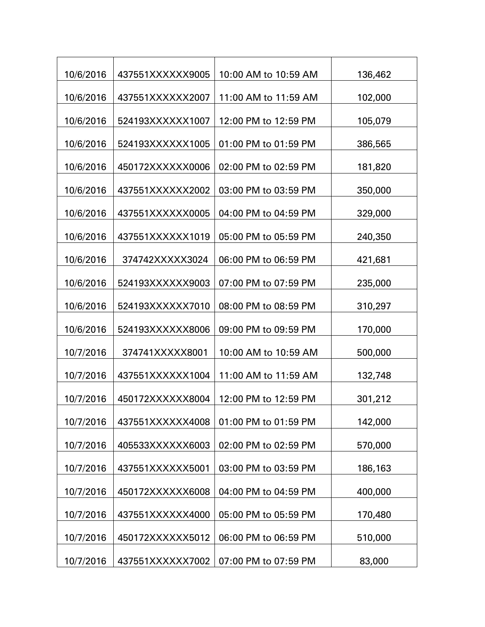| 10/6/2016 | 437551XXXXXX9005 | 10:00 AM to 10:59 AM | 136,462 |
|-----------|------------------|----------------------|---------|
| 10/6/2016 | 437551XXXXXX2007 | 11:00 AM to 11:59 AM | 102,000 |
| 10/6/2016 | 524193XXXXXX1007 | 12:00 PM to 12:59 PM | 105,079 |
| 10/6/2016 | 524193XXXXXX1005 | 01:00 PM to 01:59 PM | 386,565 |
| 10/6/2016 | 450172XXXXXX0006 | 02:00 PM to 02:59 PM | 181,820 |
| 10/6/2016 | 437551XXXXXX2002 | 03:00 PM to 03:59 PM | 350,000 |
|           |                  |                      |         |
| 10/6/2016 | 437551XXXXXX0005 | 04:00 PM to 04:59 PM | 329,000 |
| 10/6/2016 | 437551XXXXXX1019 | 05:00 PM to 05:59 PM | 240,350 |
| 10/6/2016 | 374742XXXXX3024  | 06:00 PM to 06:59 PM | 421,681 |
| 10/6/2016 | 524193XXXXXX9003 | 07:00 PM to 07:59 PM | 235,000 |
| 10/6/2016 | 524193XXXXXX7010 | 08:00 PM to 08:59 PM | 310,297 |
| 10/6/2016 | 524193XXXXXX8006 | 09:00 PM to 09:59 PM | 170,000 |
| 10/7/2016 | 374741XXXXX8001  | 10:00 AM to 10:59 AM | 500,000 |
| 10/7/2016 | 437551XXXXXX1004 | 11:00 AM to 11:59 AM | 132,748 |
| 10/7/2016 | 450172XXXXXX8004 | 12:00 PM to 12:59 PM | 301,212 |
| 10/7/2016 | 437551XXXXXX4008 | 01:00 PM to 01:59 PM | 142,000 |
| 10/7/2016 | 405533XXXXXX6003 | 02:00 PM to 02:59 PM | 570,000 |
| 10/7/2016 | 437551XXXXXX5001 | 03:00 PM to 03:59 PM | 186,163 |
| 10/7/2016 | 450172XXXXXX6008 | 04:00 PM to 04:59 PM | 400,000 |
| 10/7/2016 | 437551XXXXXX4000 | 05:00 PM to 05:59 PM | 170,480 |
|           |                  |                      |         |
| 10/7/2016 | 450172XXXXXX5012 | 06:00 PM to 06:59 PM | 510,000 |
| 10/7/2016 | 437551XXXXXX7002 | 07:00 PM to 07:59 PM | 83,000  |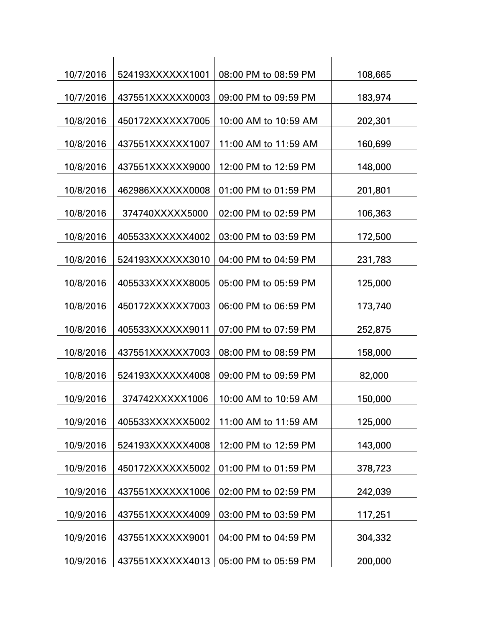| 10/7/2016 | 524193XXXXXX1001 | 08:00 PM to 08:59 PM | 108,665 |
|-----------|------------------|----------------------|---------|
| 10/7/2016 | 437551XXXXXX0003 | 09:00 PM to 09:59 PM | 183,974 |
| 10/8/2016 | 450172XXXXXX7005 | 10:00 AM to 10:59 AM | 202,301 |
| 10/8/2016 | 437551XXXXXX1007 | 11:00 AM to 11:59 AM | 160,699 |
| 10/8/2016 | 437551XXXXXX9000 | 12:00 PM to 12:59 PM | 148,000 |
| 10/8/2016 | 462986XXXXXX0008 | 01:00 PM to 01:59 PM | 201,801 |
|           |                  |                      |         |
| 10/8/2016 | 374740XXXXX5000  | 02:00 PM to 02:59 PM | 106,363 |
| 10/8/2016 | 405533XXXXXX4002 | 03:00 PM to 03:59 PM | 172,500 |
| 10/8/2016 | 524193XXXXXX3010 | 04:00 PM to 04:59 PM | 231,783 |
| 10/8/2016 | 405533XXXXXX8005 | 05:00 PM to 05:59 PM | 125,000 |
| 10/8/2016 | 450172XXXXXX7003 | 06:00 PM to 06:59 PM | 173,740 |
| 10/8/2016 | 405533XXXXXX9011 | 07:00 PM to 07:59 PM | 252,875 |
| 10/8/2016 | 437551XXXXXX7003 | 08:00 PM to 08:59 PM | 158,000 |
| 10/8/2016 | 524193XXXXXX4008 | 09:00 PM to 09:59 PM | 82,000  |
| 10/9/2016 | 374742XXXXX1006  | 10:00 AM to 10:59 AM | 150,000 |
| 10/9/2016 | 405533XXXXXX5002 | 11:00 AM to 11:59 AM | 125,000 |
| 10/9/2016 | 524193XXXXXX4008 | 12:00 PM to 12:59 PM | 143,000 |
| 10/9/2016 | 450172XXXXXX5002 | 01:00 PM to 01:59 PM | 378,723 |
|           |                  |                      |         |
| 10/9/2016 | 437551XXXXXX1006 | 02:00 PM to 02:59 PM | 242,039 |
| 10/9/2016 | 437551XXXXXX4009 | 03:00 PM to 03:59 PM | 117,251 |
| 10/9/2016 | 437551XXXXXX9001 | 04:00 PM to 04:59 PM | 304,332 |
| 10/9/2016 | 437551XXXXXX4013 | 05:00 PM to 05:59 PM | 200,000 |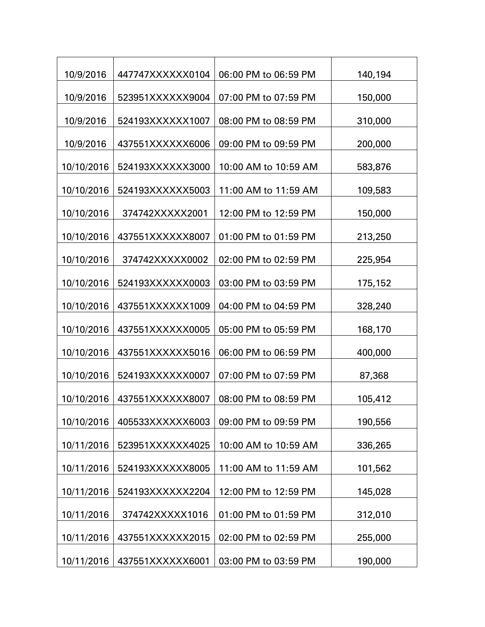| 10/9/2016  | 447747XXXXXX0104 | 06:00 PM to 06:59 PM | 140,194 |
|------------|------------------|----------------------|---------|
| 10/9/2016  | 523951XXXXXX9004 | 07:00 PM to 07:59 PM | 150,000 |
| 10/9/2016  | 524193XXXXXX1007 | 08:00 PM to 08:59 PM | 310,000 |
| 10/9/2016  | 437551XXXXXX6006 | 09:00 PM to 09:59 PM | 200,000 |
| 10/10/2016 | 524193XXXXXX3000 | 10:00 AM to 10:59 AM | 583,876 |
| 10/10/2016 | 524193XXXXXX5003 | 11:00 AM to 11:59 AM |         |
|            |                  |                      | 109,583 |
| 10/10/2016 | 374742XXXXX2001  | 12:00 PM to 12:59 PM | 150,000 |
| 10/10/2016 | 437551XXXXXX8007 | 01:00 PM to 01:59 PM | 213,250 |
| 10/10/2016 | 374742XXXXX0002  | 02:00 PM to 02:59 PM | 225,954 |
| 10/10/2016 | 524193XXXXXX0003 | 03:00 PM to 03:59 PM | 175,152 |
| 10/10/2016 | 437551XXXXXX1009 | 04:00 PM to 04:59 PM | 328,240 |
| 10/10/2016 | 437551XXXXXX0005 | 05:00 PM to 05:59 PM |         |
|            |                  |                      | 168,170 |
| 10/10/2016 | 437551XXXXXX5016 | 06:00 PM to 06:59 PM | 400,000 |
| 10/10/2016 | 524193XXXXXX0007 | 07:00 PM to 07:59 PM | 87,368  |
| 10/10/2016 | 437551XXXXXX8007 | 08:00 PM to 08:59 PM | 105,412 |
| 10/10/2016 | 405533XXXXXX6003 | 09:00 PM to 09:59 PM | 190,556 |
| 10/11/2016 | 523951XXXXXX4025 | 10:00 AM to 10:59 AM | 336,265 |
|            |                  |                      |         |
| 10/11/2016 | 524193XXXXXX8005 | 11:00 AM to 11:59 AM | 101,562 |
| 10/11/2016 | 524193XXXXXX2204 | 12:00 PM to 12:59 PM | 145,028 |
| 10/11/2016 | 374742XXXXX1016  | 01:00 PM to 01:59 PM | 312,010 |
| 10/11/2016 | 437551XXXXXX2015 | 02:00 PM to 02:59 PM | 255,000 |
| 10/11/2016 | 437551XXXXXX6001 | 03:00 PM to 03:59 PM | 190,000 |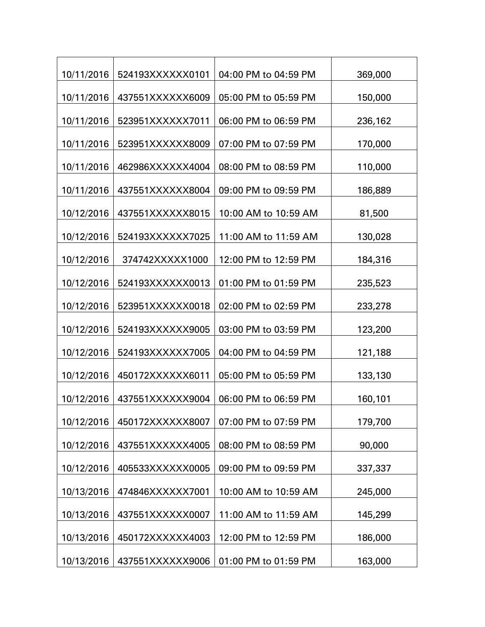| 10/11/2016 | 524193XXXXXX0101 | 04:00 PM to 04:59 PM | 369,000 |
|------------|------------------|----------------------|---------|
| 10/11/2016 | 437551XXXXXX6009 | 05:00 PM to 05:59 PM | 150,000 |
| 10/11/2016 | 523951XXXXXX7011 | 06:00 PM to 06:59 PM | 236,162 |
| 10/11/2016 | 523951XXXXXX8009 | 07:00 PM to 07:59 PM | 170,000 |
| 10/11/2016 | 462986XXXXXX4004 | 08:00 PM to 08:59 PM | 110,000 |
| 10/11/2016 | 437551XXXXXX8004 | 09:00 PM to 09:59 PM | 186,889 |
|            |                  |                      |         |
| 10/12/2016 | 437551XXXXXX8015 | 10:00 AM to 10:59 AM | 81,500  |
| 10/12/2016 | 524193XXXXXX7025 | 11:00 AM to 11:59 AM | 130,028 |
| 10/12/2016 | 374742XXXXX1000  | 12:00 PM to 12:59 PM | 184,316 |
| 10/12/2016 | 524193XXXXXX0013 | 01:00 PM to 01:59 PM | 235,523 |
| 10/12/2016 | 523951XXXXXX0018 | 02:00 PM to 02:59 PM | 233,278 |
| 10/12/2016 | 524193XXXXXX9005 | 03:00 PM to 03:59 PM | 123,200 |
| 10/12/2016 | 524193XXXXXX7005 | 04:00 PM to 04:59 PM | 121,188 |
| 10/12/2016 | 450172XXXXXX6011 | 05:00 PM to 05:59 PM | 133,130 |
| 10/12/2016 | 437551XXXXXX9004 | 06:00 PM to 06:59 PM | 160,101 |
| 10/12/2016 | 450172XXXXXX8007 | 07:00 PM to 07:59 PM | 179,700 |
|            |                  |                      |         |
| 10/12/2016 | 437551XXXXXX4005 | 08:00 PM to 08:59 PM | 90,000  |
| 10/12/2016 | 405533XXXXXX0005 | 09:00 PM to 09:59 PM | 337,337 |
| 10/13/2016 | 474846XXXXXX7001 | 10:00 AM to 10:59 AM | 245,000 |
| 10/13/2016 | 437551XXXXXX0007 | 11:00 AM to 11:59 AM | 145,299 |
| 10/13/2016 | 450172XXXXXX4003 | 12:00 PM to 12:59 PM | 186,000 |
| 10/13/2016 | 437551XXXXXX9006 | 01:00 PM to 01:59 PM | 163,000 |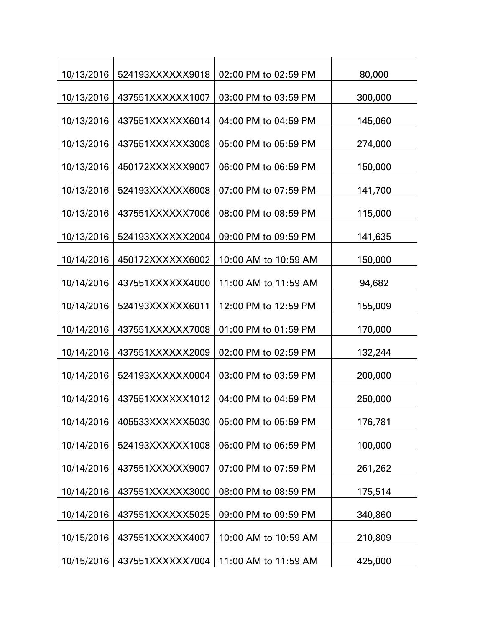| 10/13/2016 | 524193XXXXXX9018 | 02:00 PM to 02:59 PM | 80,000  |
|------------|------------------|----------------------|---------|
| 10/13/2016 | 437551XXXXXX1007 | 03:00 PM to 03:59 PM | 300,000 |
| 10/13/2016 | 437551XXXXXX6014 | 04:00 PM to 04:59 PM | 145,060 |
| 10/13/2016 | 437551XXXXXX3008 | 05:00 PM to 05:59 PM | 274,000 |
| 10/13/2016 | 450172XXXXXX9007 | 06:00 PM to 06:59 PM | 150,000 |
|            |                  |                      |         |
| 10/13/2016 | 524193XXXXXX6008 | 07:00 PM to 07:59 PM | 141,700 |
| 10/13/2016 | 437551XXXXXX7006 | 08:00 PM to 08:59 PM | 115,000 |
| 10/13/2016 | 524193XXXXXX2004 | 09:00 PM to 09:59 PM | 141,635 |
| 10/14/2016 | 450172XXXXXX6002 | 10:00 AM to 10:59 AM | 150,000 |
| 10/14/2016 | 437551XXXXXX4000 | 11:00 AM to 11:59 AM | 94,682  |
| 10/14/2016 | 524193XXXXXX6011 | 12:00 PM to 12:59 PM | 155,009 |
| 10/14/2016 | 437551XXXXXX7008 | 01:00 PM to 01:59 PM | 170,000 |
| 10/14/2016 | 437551XXXXXX2009 | 02:00 PM to 02:59 PM | 132,244 |
| 10/14/2016 | 524193XXXXXX0004 | 03:00 PM to 03:59 PM | 200,000 |
| 10/14/2016 | 437551XXXXXX1012 | 04:00 PM to 04:59 PM | 250,000 |
| 10/14/2016 | 405533XXXXXX5030 | 05:00 PM to 05:59 PM | 176,781 |
|            |                  |                      |         |
| 10/14/2016 | 524193XXXXXX1008 | 06:00 PM to 06:59 PM | 100,000 |
| 10/14/2016 | 437551XXXXXX9007 | 07:00 PM to 07:59 PM | 261,262 |
| 10/14/2016 | 437551XXXXXX3000 | 08:00 PM to 08:59 PM | 175,514 |
| 10/14/2016 | 437551XXXXXX5025 | 09:00 PM to 09:59 PM | 340,860 |
| 10/15/2016 | 437551XXXXXX4007 | 10:00 AM to 10:59 AM | 210,809 |
| 10/15/2016 | 437551XXXXXX7004 | 11:00 AM to 11:59 AM | 425,000 |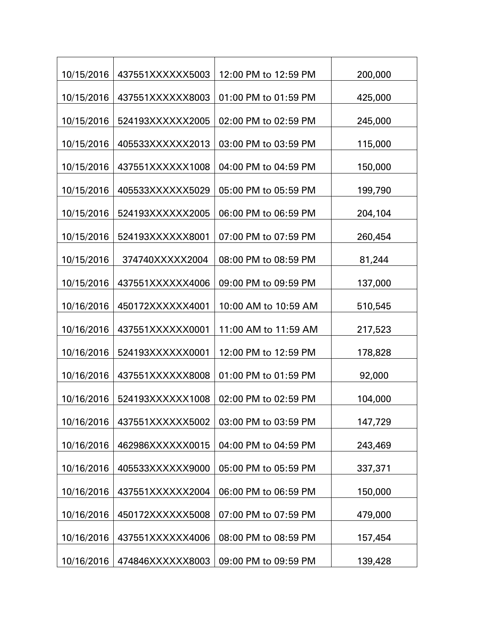| 10/15/2016 | 437551XXXXXX5003 | 12:00 PM to 12:59 PM | 200,000 |
|------------|------------------|----------------------|---------|
| 10/15/2016 | 437551XXXXXX8003 | 01:00 PM to 01:59 PM | 425,000 |
| 10/15/2016 | 524193XXXXXX2005 | 02:00 PM to 02:59 PM | 245,000 |
| 10/15/2016 | 405533XXXXXX2013 | 03:00 PM to 03:59 PM | 115,000 |
|            |                  |                      |         |
| 10/15/2016 | 437551XXXXXX1008 | 04:00 PM to 04:59 PM | 150,000 |
| 10/15/2016 | 405533XXXXXX5029 | 05:00 PM to 05:59 PM | 199,790 |
| 10/15/2016 | 524193XXXXXX2005 | 06:00 PM to 06:59 PM | 204,104 |
| 10/15/2016 | 524193XXXXXX8001 | 07:00 PM to 07:59 PM | 260,454 |
| 10/15/2016 | 374740XXXXX2004  | 08:00 PM to 08:59 PM | 81,244  |
| 10/15/2016 | 437551XXXXXX4006 | 09:00 PM to 09:59 PM | 137,000 |
| 10/16/2016 | 450172XXXXXX4001 | 10:00 AM to 10:59 AM | 510,545 |
| 10/16/2016 | 437551XXXXXX0001 | 11:00 AM to 11:59 AM | 217,523 |
| 10/16/2016 | 524193XXXXXX0001 | 12:00 PM to 12:59 PM | 178,828 |
| 10/16/2016 | 437551XXXXXX8008 | 01:00 PM to 01:59 PM | 92,000  |
| 10/16/2016 | 524193XXXXXX1008 | 02:00 PM to 02:59 PM | 104,000 |
| 10/16/2016 | 437551XXXXXX5002 | 03:00 PM to 03:59 PM | 147,729 |
| 10/16/2016 | 462986XXXXXX0015 | 04:00 PM to 04:59 PM | 243,469 |
| 10/16/2016 | 405533XXXXXX9000 | 05:00 PM to 05:59 PM | 337,371 |
| 10/16/2016 | 437551XXXXXX2004 | 06:00 PM to 06:59 PM | 150,000 |
| 10/16/2016 | 450172XXXXXX5008 | 07:00 PM to 07:59 PM | 479,000 |
| 10/16/2016 | 437551XXXXXX4006 | 08:00 PM to 08:59 PM | 157,454 |
| 10/16/2016 | 474846XXXXXX8003 | 09:00 PM to 09:59 PM | 139,428 |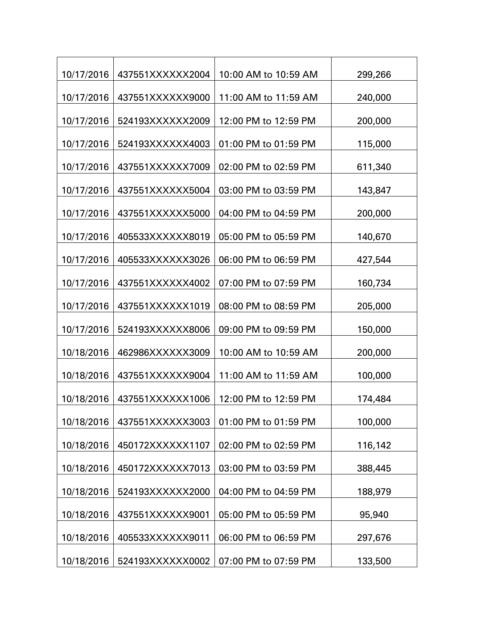| 10/17/2016 | 437551XXXXXX2004 | 10:00 AM to 10:59 AM | 299,266 |
|------------|------------------|----------------------|---------|
|            |                  |                      |         |
| 10/17/2016 | 437551XXXXXX9000 | 11:00 AM to 11:59 AM | 240,000 |
| 10/17/2016 | 524193XXXXXX2009 | 12:00 PM to 12:59 PM | 200,000 |
| 10/17/2016 | 524193XXXXXX4003 | 01:00 PM to 01:59 PM | 115,000 |
| 10/17/2016 | 437551XXXXXX7009 | 02:00 PM to 02:59 PM | 611,340 |
| 10/17/2016 | 437551XXXXXX5004 | 03:00 PM to 03:59 PM | 143,847 |
| 10/17/2016 | 437551XXXXXX5000 | 04:00 PM to 04:59 PM | 200,000 |
| 10/17/2016 | 405533XXXXXX8019 | 05:00 PM to 05:59 PM | 140,670 |
| 10/17/2016 | 405533XXXXXX3026 | 06:00 PM to 06:59 PM | 427,544 |
| 10/17/2016 | 437551XXXXXX4002 | 07:00 PM to 07:59 PM | 160,734 |
| 10/17/2016 | 437551XXXXXX1019 | 08:00 PM to 08:59 PM | 205,000 |
| 10/17/2016 | 524193XXXXXX8006 | 09:00 PM to 09:59 PM | 150,000 |
| 10/18/2016 | 462986XXXXXX3009 | 10:00 AM to 10:59 AM | 200,000 |
| 10/18/2016 | 437551XXXXXX9004 | 11:00 AM to 11:59 AM | 100,000 |
| 10/18/2016 | 437551XXXXXX1006 | 12:00 PM to 12:59 PM | 174,484 |
| 10/18/2016 | 437551XXXXXX3003 | 01:00 PM to 01:59 PM | 100,000 |
| 10/18/2016 | 450172XXXXXX1107 | 02:00 PM to 02:59 PM | 116,142 |
| 10/18/2016 | 450172XXXXXX7013 | 03:00 PM to 03:59 PM | 388,445 |
| 10/18/2016 | 524193XXXXXX2000 | 04:00 PM to 04:59 PM | 188,979 |
| 10/18/2016 | 437551XXXXXX9001 | 05:00 PM to 05:59 PM | 95,940  |
| 10/18/2016 | 405533XXXXXX9011 | 06:00 PM to 06:59 PM | 297,676 |
| 10/18/2016 | 524193XXXXXX0002 | 07:00 PM to 07:59 PM | 133,500 |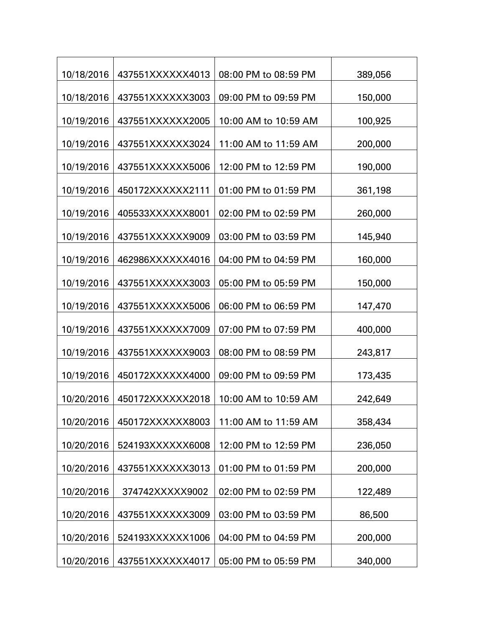| 10/18/2016 | 437551XXXXXX4013 | 08:00 PM to 08:59 PM | 389,056 |
|------------|------------------|----------------------|---------|
| 10/18/2016 | 437551XXXXXX3003 | 09:00 PM to 09:59 PM | 150,000 |
| 10/19/2016 | 437551XXXXXX2005 | 10:00 AM to 10:59 AM | 100,925 |
| 10/19/2016 | 437551XXXXXX3024 | 11:00 AM to 11:59 AM | 200,000 |
| 10/19/2016 | 437551XXXXXX5006 | 12:00 PM to 12:59 PM | 190,000 |
| 10/19/2016 | 450172XXXXXX2111 | 01:00 PM to 01:59 PM | 361,198 |
|            |                  |                      |         |
| 10/19/2016 | 405533XXXXXX8001 | 02:00 PM to 02:59 PM | 260,000 |
| 10/19/2016 | 437551XXXXXX9009 | 03:00 PM to 03:59 PM | 145,940 |
| 10/19/2016 | 462986XXXXXX4016 | 04:00 PM to 04:59 PM | 160,000 |
| 10/19/2016 | 437551XXXXXX3003 | 05:00 PM to 05:59 PM | 150,000 |
| 10/19/2016 | 437551XXXXXX5006 | 06:00 PM to 06:59 PM | 147,470 |
| 10/19/2016 | 437551XXXXXX7009 | 07:00 PM to 07:59 PM | 400,000 |
| 10/19/2016 | 437551XXXXXX9003 | 08:00 PM to 08:59 PM | 243,817 |
| 10/19/2016 | 450172XXXXXX4000 | 09:00 PM to 09:59 PM | 173,435 |
| 10/20/2016 | 450172XXXXXX2018 | 10:00 AM to 10:59 AM | 242,649 |
| 10/20/2016 | 450172XXXXXX8003 | 11:00 AM to 11:59 AM | 358,434 |
|            |                  |                      |         |
| 10/20/2016 | 524193XXXXXX6008 | 12:00 PM to 12:59 PM | 236,050 |
| 10/20/2016 | 437551XXXXXX3013 | 01:00 PM to 01:59 PM | 200,000 |
| 10/20/2016 | 374742XXXXX9002  | 02:00 PM to 02:59 PM | 122,489 |
| 10/20/2016 | 437551XXXXXX3009 | 03:00 PM to 03:59 PM | 86,500  |
| 10/20/2016 | 524193XXXXXX1006 | 04:00 PM to 04:59 PM | 200,000 |
| 10/20/2016 | 437551XXXXXX4017 | 05:00 PM to 05:59 PM | 340,000 |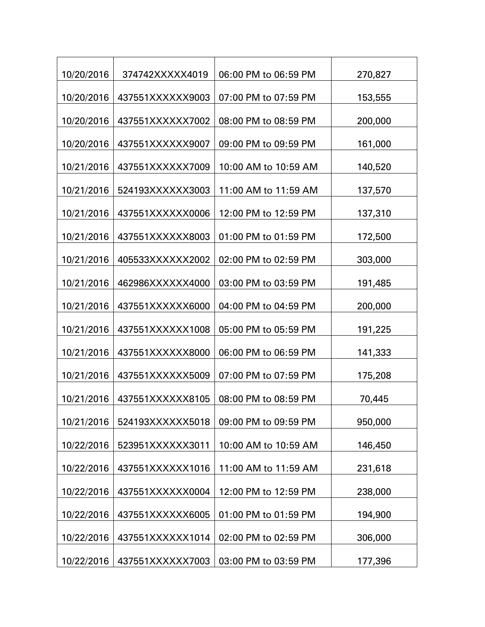| 10/20/2016 | 374742XXXXX4019  | 06:00 PM to 06:59 PM | 270,827 |
|------------|------------------|----------------------|---------|
| 10/20/2016 | 437551XXXXXX9003 | 07:00 PM to 07:59 PM | 153,555 |
| 10/20/2016 | 437551XXXXXX7002 | 08:00 PM to 08:59 PM | 200,000 |
| 10/20/2016 | 437551XXXXXX9007 | 09:00 PM to 09:59 PM | 161,000 |
| 10/21/2016 | 437551XXXXXX7009 | 10:00 AM to 10:59 AM | 140,520 |
|            |                  | 11:00 AM to 11:59 AM |         |
| 10/21/2016 | 524193XXXXXX3003 |                      | 137,570 |
| 10/21/2016 | 437551XXXXXX0006 | 12:00 PM to 12:59 PM | 137,310 |
| 10/21/2016 | 437551XXXXXX8003 | 01:00 PM to 01:59 PM | 172,500 |
| 10/21/2016 | 405533XXXXXX2002 | 02:00 PM to 02:59 PM | 303,000 |
| 10/21/2016 | 462986XXXXXX4000 | 03:00 PM to 03:59 PM | 191,485 |
| 10/21/2016 | 437551XXXXXX6000 | 04:00 PM to 04:59 PM | 200,000 |
| 10/21/2016 | 437551XXXXXX1008 | 05:00 PM to 05:59 PM | 191,225 |
|            |                  |                      |         |
| 10/21/2016 | 437551XXXXXX8000 | 06:00 PM to 06:59 PM | 141,333 |
| 10/21/2016 | 437551XXXXXX5009 | 07:00 PM to 07:59 PM | 175,208 |
| 10/21/2016 | 437551XXXXXX8105 | 08:00 PM to 08:59 PM | 70,445  |
| 10/21/2016 | 524193XXXXXX5018 | 09:00 PM to 09:59 PM | 950,000 |
| 10/22/2016 | 523951XXXXXX3011 | 10:00 AM to 10:59 AM | 146,450 |
| 10/22/2016 | 437551XXXXXX1016 | 11:00 AM to 11:59 AM | 231,618 |
|            |                  |                      |         |
| 10/22/2016 | 437551XXXXXX0004 | 12:00 PM to 12:59 PM | 238,000 |
| 10/22/2016 | 437551XXXXXX6005 | 01:00 PM to 01:59 PM | 194,900 |
| 10/22/2016 | 437551XXXXXX1014 | 02:00 PM to 02:59 PM | 306,000 |
| 10/22/2016 | 437551XXXXXX7003 | 03:00 PM to 03:59 PM | 177,396 |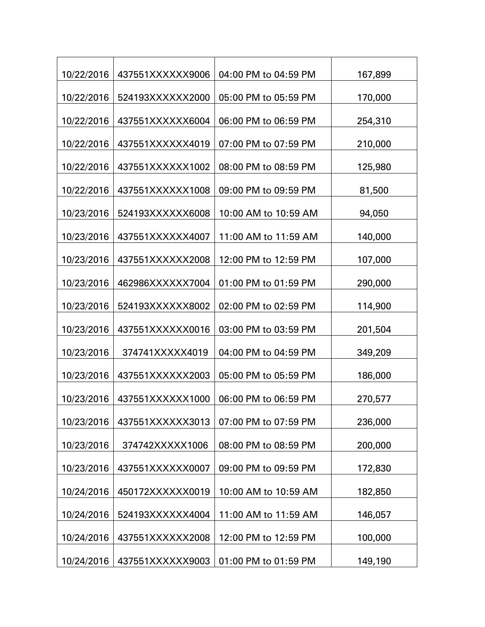| 10/22/2016 | 437551XXXXXX9006 | 04:00 PM to 04:59 PM | 167,899 |
|------------|------------------|----------------------|---------|
| 10/22/2016 | 524193XXXXXX2000 | 05:00 PM to 05:59 PM | 170,000 |
| 10/22/2016 | 437551XXXXXX6004 | 06:00 PM to 06:59 PM | 254,310 |
| 10/22/2016 | 437551XXXXXX4019 | 07:00 PM to 07:59 PM | 210,000 |
| 10/22/2016 | 437551XXXXXX1002 | 08:00 PM to 08:59 PM | 125,980 |
| 10/22/2016 | 437551XXXXXX1008 | 09:00 PM to 09:59 PM | 81,500  |
| 10/23/2016 | 524193XXXXXX6008 | 10:00 AM to 10:59 AM | 94,050  |
|            |                  |                      |         |
| 10/23/2016 | 437551XXXXXX4007 | 11:00 AM to 11:59 AM | 140,000 |
| 10/23/2016 | 437551XXXXXX2008 | 12:00 PM to 12:59 PM | 107,000 |
| 10/23/2016 | 462986XXXXXX7004 | 01:00 PM to 01:59 PM | 290,000 |
| 10/23/2016 | 524193XXXXXX8002 | 02:00 PM to 02:59 PM | 114,900 |
| 10/23/2016 | 437551XXXXXX0016 | 03:00 PM to 03:59 PM | 201,504 |
| 10/23/2016 | 374741XXXXX4019  | 04:00 PM to 04:59 PM | 349,209 |
| 10/23/2016 | 437551XXXXXX2003 | 05:00 PM to 05:59 PM | 186,000 |
| 10/23/2016 | 437551XXXXXX1000 | 06:00 PM to 06:59 PM | 270,577 |
| 10/23/2016 | 437551XXXXXX3013 | 07:00 PM to 07:59 PM | 236,000 |
| 10/23/2016 | 374742XXXXX1006  | 08:00 PM to 08:59 PM | 200,000 |
|            |                  |                      |         |
| 10/23/2016 | 437551XXXXXX0007 | 09:00 PM to 09:59 PM | 172,830 |
| 10/24/2016 | 450172XXXXXX0019 | 10:00 AM to 10:59 AM | 182,850 |
| 10/24/2016 | 524193XXXXXX4004 | 11:00 AM to 11:59 AM | 146,057 |
| 10/24/2016 | 437551XXXXXX2008 | 12:00 PM to 12:59 PM | 100,000 |
| 10/24/2016 | 437551XXXXXX9003 | 01:00 PM to 01:59 PM | 149,190 |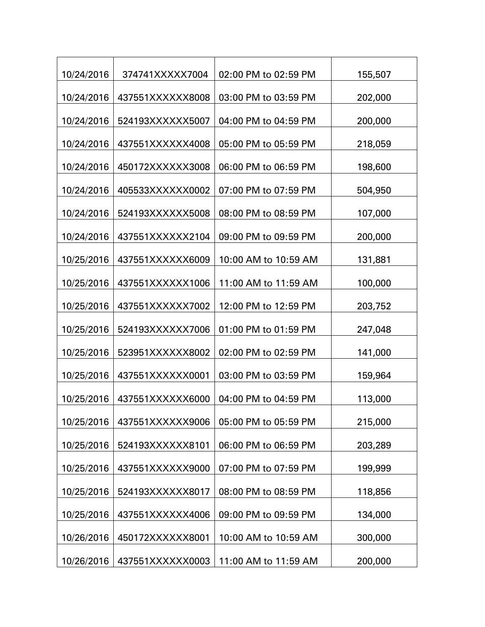| 10/24/2016 | 374741XXXXX7004  | 02:00 PM to 02:59 PM | 155,507 |
|------------|------------------|----------------------|---------|
| 10/24/2016 | 437551XXXXXX8008 | 03:00 PM to 03:59 PM | 202,000 |
| 10/24/2016 | 524193XXXXXX5007 | 04:00 PM to 04:59 PM | 200,000 |
| 10/24/2016 | 437551XXXXXX4008 | 05:00 PM to 05:59 PM | 218,059 |
| 10/24/2016 | 450172XXXXXX3008 | 06:00 PM to 06:59 PM | 198,600 |
| 10/24/2016 | 405533XXXXXX0002 | 07:00 PM to 07:59 PM | 504,950 |
|            |                  |                      |         |
| 10/24/2016 | 524193XXXXXX5008 | 08:00 PM to 08:59 PM | 107,000 |
| 10/24/2016 | 437551XXXXXX2104 | 09:00 PM to 09:59 PM | 200,000 |
| 10/25/2016 | 437551XXXXXX6009 | 10:00 AM to 10:59 AM | 131,881 |
| 10/25/2016 | 437551XXXXXX1006 | 11:00 AM to 11:59 AM | 100,000 |
| 10/25/2016 | 437551XXXXXX7002 | 12:00 PM to 12:59 PM | 203,752 |
| 10/25/2016 | 524193XXXXXX7006 | 01:00 PM to 01:59 PM | 247,048 |
| 10/25/2016 | 523951XXXXXX8002 | 02:00 PM to 02:59 PM | 141,000 |
| 10/25/2016 | 437551XXXXXX0001 | 03:00 PM to 03:59 PM | 159,964 |
| 10/25/2016 | 437551XXXXXX6000 | 04:00 PM to 04:59 PM | 113,000 |
| 10/25/2016 | 437551XXXXXX9006 | 05:00 PM to 05:59 PM | 215,000 |
| 10/25/2016 | 524193XXXXXX8101 | 06:00 PM to 06:59 PM | 203,289 |
| 10/25/2016 | 437551XXXXXX9000 | 07:00 PM to 07:59 PM | 199,999 |
|            |                  |                      |         |
| 10/25/2016 | 524193XXXXXX8017 | 08:00 PM to 08:59 PM | 118,856 |
| 10/25/2016 | 437551XXXXXX4006 | 09:00 PM to 09:59 PM | 134,000 |
| 10/26/2016 | 450172XXXXXX8001 | 10:00 AM to 10:59 AM | 300,000 |
| 10/26/2016 | 437551XXXXXX0003 | 11:00 AM to 11:59 AM | 200,000 |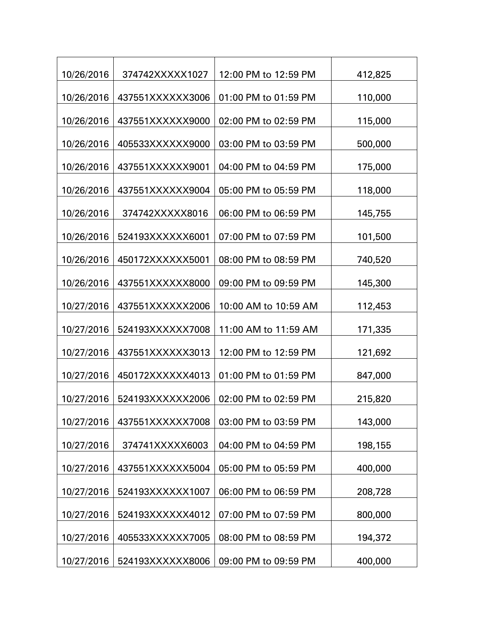| 10/26/2016 | 374742XXXXX1027  | 12:00 PM to 12:59 PM | 412,825 |
|------------|------------------|----------------------|---------|
| 10/26/2016 | 437551XXXXXX3006 | 01:00 PM to 01:59 PM | 110,000 |
| 10/26/2016 | 437551XXXXXX9000 | 02:00 PM to 02:59 PM | 115,000 |
| 10/26/2016 | 405533XXXXXX9000 | 03:00 PM to 03:59 PM | 500,000 |
| 10/26/2016 | 437551XXXXXX9001 | 04:00 PM to 04:59 PM | 175,000 |
| 10/26/2016 | 437551XXXXXX9004 | 05:00 PM to 05:59 PM | 118,000 |
| 10/26/2016 | 374742XXXXX8016  | 06:00 PM to 06:59 PM | 145,755 |
| 10/26/2016 | 524193XXXXXX6001 | 07:00 PM to 07:59 PM | 101,500 |
| 10/26/2016 | 450172XXXXXX5001 | 08:00 PM to 08:59 PM | 740,520 |
| 10/26/2016 | 437551XXXXXX8000 | 09:00 PM to 09:59 PM | 145,300 |
| 10/27/2016 | 437551XXXXXX2006 | 10:00 AM to 10:59 AM | 112,453 |
|            |                  |                      |         |
| 10/27/2016 | 524193XXXXXX7008 | 11:00 AM to 11:59 AM | 171,335 |
| 10/27/2016 | 437551XXXXXX3013 | 12:00 PM to 12:59 PM | 121,692 |
| 10/27/2016 | 450172XXXXXX4013 | 01:00 PM to 01:59 PM | 847,000 |
| 10/27/2016 | 524193XXXXXX2006 | 02:00 PM to 02:59 PM | 215,820 |
| 10/27/2016 | 437551XXXXXX7008 | 03:00 PM to 03:59 PM | 143,000 |
| 10/27/2016 | 374741XXXXX6003  | 04:00 PM to 04:59 PM | 198,155 |
| 10/27/2016 | 437551XXXXXX5004 | 05:00 PM to 05:59 PM | 400,000 |
| 10/27/2016 | 524193XXXXXX1007 | 06:00 PM to 06:59 PM | 208,728 |
| 10/27/2016 | 524193XXXXXX4012 | 07:00 PM to 07:59 PM | 800,000 |
| 10/27/2016 | 405533XXXXXX7005 | 08:00 PM to 08:59 PM | 194,372 |
| 10/27/2016 | 524193XXXXXX8006 | 09:00 PM to 09:59 PM | 400,000 |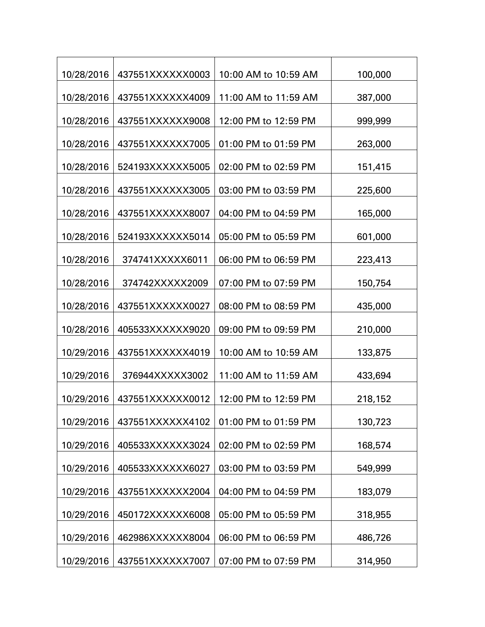| 10/28/2016 | 437551XXXXXX0003 | 10:00 AM to 10:59 AM | 100,000 |
|------------|------------------|----------------------|---------|
| 10/28/2016 | 437551XXXXXX4009 | 11:00 AM to 11:59 AM | 387,000 |
| 10/28/2016 | 437551XXXXXX9008 | 12:00 PM to 12:59 PM | 999,999 |
| 10/28/2016 | 437551XXXXXX7005 | 01:00 PM to 01:59 PM | 263,000 |
| 10/28/2016 | 524193XXXXXX5005 | 02:00 PM to 02:59 PM | 151,415 |
| 10/28/2016 | 437551XXXXXX3005 | 03:00 PM to 03:59 PM | 225,600 |
| 10/28/2016 | 437551XXXXXX8007 | 04:00 PM to 04:59 PM | 165,000 |
| 10/28/2016 | 524193XXXXXX5014 | 05:00 PM to 05:59 PM | 601,000 |
| 10/28/2016 | 374741XXXXX6011  | 06:00 PM to 06:59 PM | 223,413 |
| 10/28/2016 | 374742XXXXX2009  | 07:00 PM to 07:59 PM | 150,754 |
|            |                  | 08:00 PM to 08:59 PM |         |
| 10/28/2016 | 437551XXXXXX0027 |                      | 435,000 |
| 10/28/2016 | 405533XXXXXX9020 | 09:00 PM to 09:59 PM | 210,000 |
| 10/29/2016 | 437551XXXXXX4019 | 10:00 AM to 10:59 AM | 133,875 |
| 10/29/2016 | 376944XXXXX3002  | 11:00 AM to 11:59 AM | 433,694 |
| 10/29/2016 | 437551XXXXXX0012 | 12:00 PM to 12:59 PM | 218,152 |
| 10/29/2016 | 437551XXXXXX4102 | 01:00 PM to 01:59 PM | 130,723 |
| 10/29/2016 | 405533XXXXXX3024 | 02:00 PM to 02:59 PM | 168,574 |
| 10/29/2016 | 405533XXXXXX6027 | 03:00 PM to 03:59 PM | 549,999 |
| 10/29/2016 | 437551XXXXXX2004 | 04:00 PM to 04:59 PM | 183,079 |
| 10/29/2016 | 450172XXXXXX6008 | 05:00 PM to 05:59 PM | 318,955 |
| 10/29/2016 | 462986XXXXXX8004 | 06:00 PM to 06:59 PM | 486,726 |
| 10/29/2016 | 437551XXXXXX7007 | 07:00 PM to 07:59 PM | 314,950 |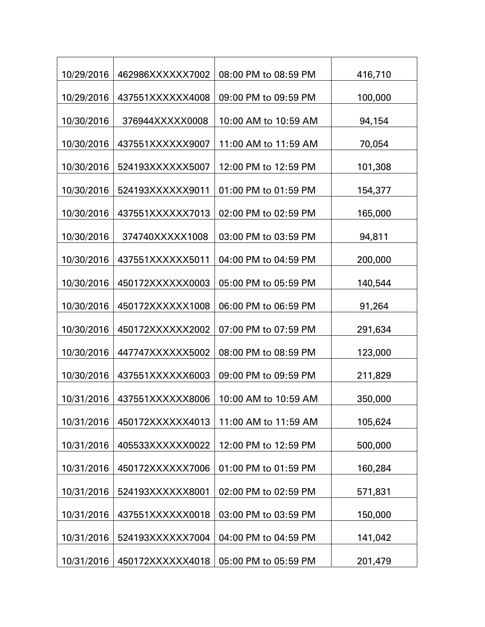| 10/29/2016 | 462986XXXXXX7002 | 08:00 PM to 08:59 PM | 416,710 |
|------------|------------------|----------------------|---------|
| 10/29/2016 | 437551XXXXXX4008 | 09:00 PM to 09:59 PM | 100,000 |
| 10/30/2016 | 376944XXXXX0008  | 10:00 AM to 10:59 AM | 94,154  |
| 10/30/2016 | 437551XXXXXX9007 | 11:00 AM to 11:59 AM | 70,054  |
| 10/30/2016 | 524193XXXXXX5007 | 12:00 PM to 12:59 PM | 101,308 |
| 10/30/2016 | 524193XXXXXX9011 | 01:00 PM to 01:59 PM | 154,377 |
| 10/30/2016 | 437551XXXXXX7013 | 02:00 PM to 02:59 PM | 165,000 |
| 10/30/2016 | 374740XXXXX1008  | 03:00 PM to 03:59 PM | 94,811  |
| 10/30/2016 | 437551XXXXXX5011 | 04:00 PM to 04:59 PM | 200,000 |
| 10/30/2016 | 450172XXXXXX0003 | 05:00 PM to 05:59 PM | 140,544 |
| 10/30/2016 | 450172XXXXXX1008 | 06:00 PM to 06:59 PM | 91,264  |
| 10/30/2016 | 450172XXXXXX2002 | 07:00 PM to 07:59 PM | 291,634 |
| 10/30/2016 | 447747XXXXXX5002 | 08:00 PM to 08:59 PM | 123,000 |
| 10/30/2016 | 437551XXXXXX6003 | 09:00 PM to 09:59 PM | 211,829 |
| 10/31/2016 | 437551XXXXXX8006 | 10:00 AM to 10:59 AM | 350,000 |
| 10/31/2016 | 450172XXXXXX4013 | 11:00 AM to 11:59 AM | 105,624 |
| 10/31/2016 | 405533XXXXXX0022 | 12:00 PM to 12:59 PM | 500,000 |
| 10/31/2016 | 450172XXXXXX7006 | 01:00 PM to 01:59 PM | 160,284 |
| 10/31/2016 | 524193XXXXXX8001 | 02:00 PM to 02:59 PM | 571,831 |
| 10/31/2016 | 437551XXXXXX0018 | 03:00 PM to 03:59 PM | 150,000 |
| 10/31/2016 | 524193XXXXXX7004 | 04:00 PM to 04:59 PM | 141,042 |
|            |                  |                      |         |
| 10/31/2016 | 450172XXXXXX4018 | 05:00 PM to 05:59 PM | 201,479 |